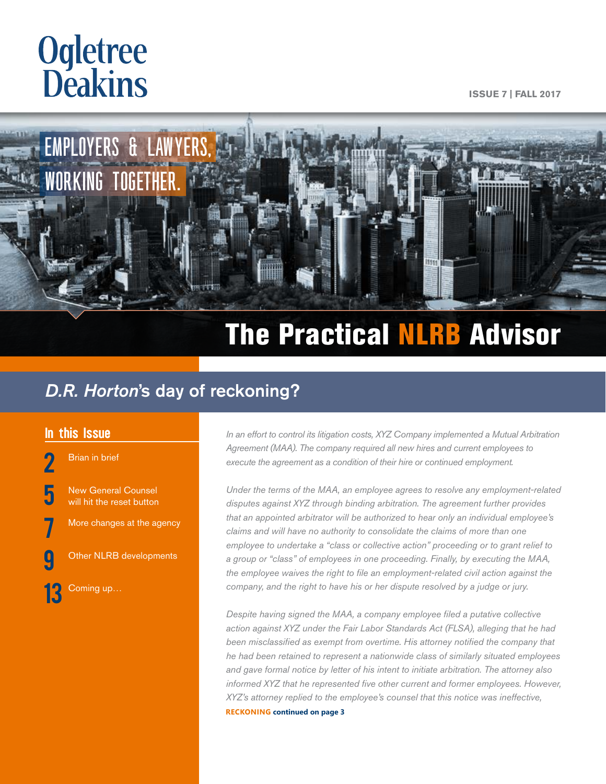# **Ogletree**<br>**Deakins**

**ISSUE 7 | FALL 2017**



# The Practical NLRB Advisor

## *D.R. Horton*'s day of reckoning?

[Brian in brief](#page-1-0)

**[5](#page-4-0)** New General Counsel<br>[will hit the reset button](#page-4-0)

[More changes at the agency](#page-6-0)

[Other NLRB developments](#page-8-0)

Coming up...

**In this Issue** *In an effort to control its litigation costs, XYZ Company implemented a Mutual Arbitration* **<b>***In an effort to control its litigation costs, XYZ Company implemented a Mutual Arbitration Agreement (MAA). The company required all new hires and current employees to execute the agreement as a condition of their hire or continued employment.* 

> *Under the terms of the MAA, an employee agrees to resolve any employment-related disputes against XYZ through binding arbitration. The agreement further provides that an appointed arbitrator will be authorized to hear only an individual employee's claims and will have no authority to consolidate the claims of more than one employee to undertake a "class or collective action" proceeding or to grant relief to a group or "class" of employees in one proceeding. Finally, by executing the MAA, the employee waives the right to file an employment-related civil action against the company, and the right to have his or her dispute resolved by a judge or jury.*

> *Despite having signed the MAA, a company employee filed a putative collective action against XYZ under the Fair Labor Standards Act (FLSA), alleging that he had been misclassified as exempt from overtime. His attorney notified the company that he had been retained to represent a nationwide class of similarly situated employees and gave formal notice by letter of his intent to initiate arbitration. The attorney also informed XYZ that he represented five other current and former employees. However, XYZ's attorney replied to the employee's counsel that this notice was ineffective,*  **RECKONING continued on page 3**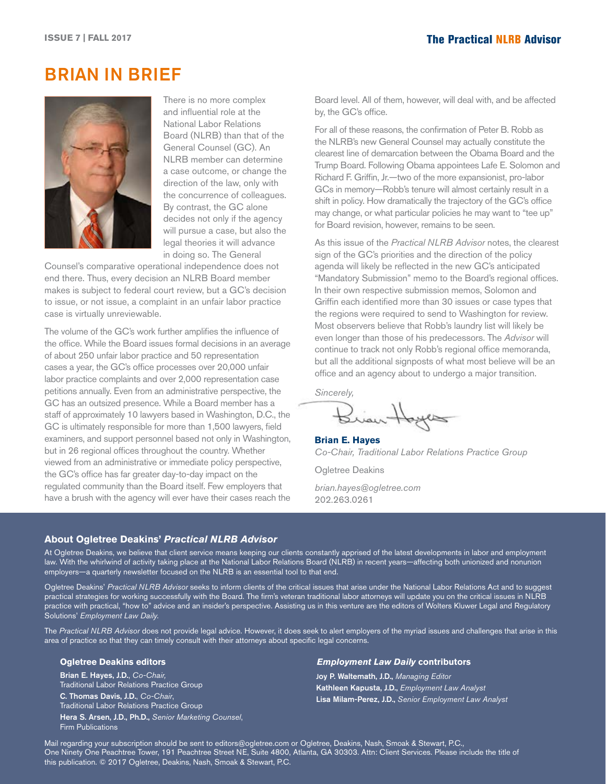## <span id="page-1-0"></span>BRIAN IN BRIEF



There is no more complex and influential role at the National Labor Relations Board (NLRB) than that of the General Counsel (GC). An NLRB member can determine a case outcome, or change the direction of the law, only with the concurrence of colleagues. By contrast, the GC alone decides not only if the agency will pursue a case, but also the legal theories it will advance in doing so. The General

Counsel's comparative operational independence does not end there. Thus, every decision an NLRB Board member makes is subject to federal court review, but a GC's decision to issue, or not issue, a complaint in an unfair labor practice case is virtually unreviewable.

The volume of the GC's work further amplifies the influence of the office. While the Board issues formal decisions in an average of about 250 unfair labor practice and 50 representation cases a year, the GC's office processes over 20,000 unfair labor practice complaints and over 2,000 representation case petitions annually. Even from an administrative perspective, the GC has an outsized presence. While a Board member has a staff of approximately 10 lawyers based in Washington, D.C., the GC is ultimately responsible for more than 1,500 lawyers, field examiners, and support personnel based not only in Washington, but in 26 regional offices throughout the country. Whether viewed from an administrative or immediate policy perspective, the GC's office has far greater day-to-day impact on the regulated community than the Board itself. Few employers that have a brush with the agency will ever have their cases reach the Board level. All of them, however, will deal with, and be affected by, the GC's office.

For all of these reasons, the confirmation of Peter B. Robb as the NLRB's new General Counsel may actually constitute the clearest line of demarcation between the Obama Board and the Trump Board. Following Obama appointees Lafe E. Solomon and Richard F. Griffin, Jr.—two of the more expansionist, pro-labor GCs in memory—Robb's tenure will almost certainly result in a shift in policy. How dramatically the trajectory of the GC's office may change, or what particular policies he may want to "tee up" for Board revision, however, remains to be seen.

As this issue of the *Practical NLRB Advisor* notes, the clearest sign of the GC's priorities and the direction of the policy agenda will likely be reflected in the new GC's anticipated "Mandatory Submission" memo to the Board's regional offices. In their own respective submission memos, Solomon and Griffin each identified more than 30 issues or case types that the regions were required to send to Washington for review. Most observers believe that Robb's laundry list will likely be even longer than those of his predecessors. The *Advisor* will continue to track not only Robb's regional office memoranda, but all the additional signposts of what most believe will be an office and an agency about to undergo a major transition.

*Sincerely,*

Brian Hoyes

**Brian E. Hayes** *Co-Chair, Traditional Labor Relations Practice Group*

Ogletree Deakins

*brian.hayes@ogletree.com* 202.263.0261

#### **About Ogletree Deakins'** *Practical NLRB Advisor*

At Ogletree Deakins, we believe that client service means keeping our clients constantly apprised of the latest developments in labor and employment law. With the whirlwind of activity taking place at the National Labor Relations Board (NLRB) in recent years—affecting both unionized and nonunion employers—a quarterly newsletter focused on the NLRB is an essential tool to that end.

Ogletree Deakins' *Practical NLRB Advisor* seeks to inform clients of the critical issues that arise under the National Labor Relations Act and to suggest practical strategies for working successfully with the Board. The firm's veteran traditional labor attorneys will update you on the critical issues in NLRB practice with practical, "how to" advice and an insider's perspective. Assisting us in this venture are the editors of Wolters Kluwer Legal and Regulatory Solutions' *Employment Law Daily.*

The *Practical NLRB Advisor* does not provide legal advice. However, it does seek to alert employers of the myriad issues and challenges that arise in this area of practice so that they can timely consult with their attorneys about specific legal concerns.

#### **Ogletree Deakins editors**

Brian E. Hayes, J.D., *Co-Chair,* Traditional Labor Relations Practice Group C. Thomas Davis, J.D., *Co-Chair*, Traditional Labor Relations Practice Group Hera S. Arsen, J.D., Ph.D., *Senior Marketing Counsel*, Firm Publications

#### *Employment Law Daily* **contributors**

Joy P. Waltemath, J.D., *Managing Editor* Kathleen Kapusta, J.D., *Employment Law Analyst* Lisa Milam-Perez, J.D., *Senior Employment Law Analyst*

Mail regarding your subscription should be sent to [editors@ogletree.com](mailto:editors@ogletree.com) or Ogletree, Deakins, Nash, Smoak & Stewart, P.C., One Ninety One Peachtree Tower, 191 Peachtree Street NE, Suite 4800, Atlanta, GA 30303. Attn: Client Services. Please include the title of this publication. © 2017 Ogletree, Deakins, Nash, Smoak & Stewart, P.C.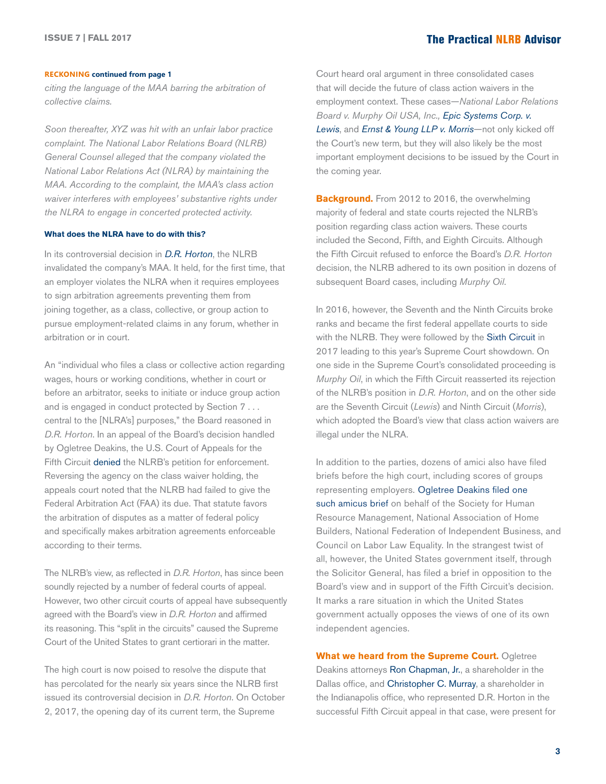#### **RECKONING continued from page 1**

*citing the language of the MAA barring the arbitration of collective claims.*

*Soon thereafter, XYZ was hit with an unfair labor practice complaint. The National Labor Relations Board (NLRB) General Counsel alleged that the company violated the National Labor Relations Act (NLRA) by maintaining the MAA. According to the complaint, the MAA's class action waiver interferes with employees' substantive rights under the NLRA to engage in concerted protected activity.* 

#### **What does the NLRA have to do with this?**

In its controversial decision in *[D.R. Horton](http://hr.cch.com/eld/DRHorton.pdf)*, the NLRB invalidated the company's MAA. It held, for the first time, that an employer violates the NLRA when it requires employees to sign arbitration agreements preventing them from joining together, as a class, collective, or group action to pursue employment-related claims in any forum, whether in arbitration or in court.

An "individual who files a class or collective action regarding wages, hours or working conditions, whether in court or before an arbitrator, seeks to initiate or induce group action and is engaged in conduct protected by Section 7 . . . central to the [NLRA's] purposes," the Board reasoned in *D.R. Horton*. In an appeal of the Board's decision handled by Ogletree Deakins, the U.S. Court of Appeals for the Fifth Circuit [denied](http://hr.cch.com/ELD/DRHortonNLRB12313.pdf) the NLRB's petition for enforcement. Reversing the agency on the class waiver holding, the appeals court noted that the NLRB had failed to give the Federal Arbitration Act (FAA) its due. That statute favors the arbitration of disputes as a matter of federal policy and specifically makes arbitration agreements enforceable according to their terms.

The NLRB's view, as reflected in *D.R. Horton*, has since been soundly rejected by a number of federal courts of appeal. However, two other circuit courts of appeal have subsequently agreed with the Board's view in *D.R. Horton* and affirmed its reasoning. This "split in the circuits" caused the Supreme Court of the United States to grant certiorari in the matter.

The high court is now poised to resolve the dispute that has percolated for the nearly six years since the NLRB first issued its controversial decision in *D.R. Horton*. On October 2, 2017, the opening day of its current term, the Supreme

Court heard oral argument in three consolidated cases that will decide the future of class action waivers in the employment context. These cases—*National Labor Relations Board v. Murphy Oil USA, Inc., [Epic Systems Corp. v.](http://ogletree.com/shared-content/content/blog/2016/june/seventh-circuit-voids-employee-promises-not-pursue-wage-hour-claims-members-class-collective-action)  [Lewis](http://ogletree.com/shared-content/content/blog/2016/june/seventh-circuit-voids-employee-promises-not-pursue-wage-hour-claims-members-class-collective-action)*, and *[Ernst & Young LLP v. Morris](http://ogletree.com/shared-content/content/blog/2016/august/ninth-circuit-holds-class-actions-waivers-violate-nlra--what-employers-should-do-now)*—not only kicked off the Court's new term, but they will also likely be the most important employment decisions to be issued by the Court in the coming year.

**Background.** From 2012 to 2016, the overwhelming majority of federal and state courts rejected the NLRB's position regarding class action waivers. These courts included the Second, Fifth, and Eighth Circuits. Although the Fifth Circuit refused to enforce the Board's *D.R. Horton* decision, the NLRB adhered to its own position in dozens of subsequent Board cases, including *Murphy Oil*.

In 2016, however, the Seventh and the Ninth Circuits broke ranks and became the first federal appellate courts to side with the NLRB. They were followed by the [Sixth Circuit](https://ogletree.com/shared-content/content/blog/2017/june/sixth-circuit-adopts-nlrbs-d-r-horton-rule-deepens-circuit-split-on-class-action-waivers) in 2017 leading to this year's Supreme Court showdown. On one side in the Supreme Court's consolidated proceeding is *Murphy Oil*, in which the Fifth Circuit reasserted its rejection of the NLRB's position in *D.R. Horton*, and on the other side are the Seventh Circuit (*Lewis*) and Ninth Circuit (*Morris*), which adopted the Board's view that class action waivers are illegal under the NLRA.

In addition to the parties, dozens of amici also have filed briefs before the high court, including scores of groups representing employers. [Ogletree Deakins filed one](https://ogletree.com/shared-content/content/blog/2017/june/class-action-waiver-update-ogletree-files-supreme-court-amicus-brief-supporting-businesses-employers)  [such amicus brief](https://ogletree.com/shared-content/content/blog/2017/june/class-action-waiver-update-ogletree-files-supreme-court-amicus-brief-supporting-businesses-employers) on behalf of the Society for Human Resource Management, National Association of Home Builders, National Federation of Independent Business, and Council on Labor Law Equality. In the strangest twist of all, however, the United States government itself, through the Solicitor General, has filed a brief in opposition to the Board's view and in support of the Fifth Circuit's decision. It marks a rare situation in which the United States government actually opposes the views of one of its own independent agencies.

**What we heard from the Supreme Court.** Ogletree Deakins attorneys [Ron Chapman, Jr.](https://ogletree.com/people/ron-chapman-jr), a shareholder in the Dallas office, and [Christopher C. Murray,](https://ogletree.com/people/christopher-c-murray) a shareholder in the Indianapolis office, who represented D.R. Horton in the successful Fifth Circuit appeal in that case, were present for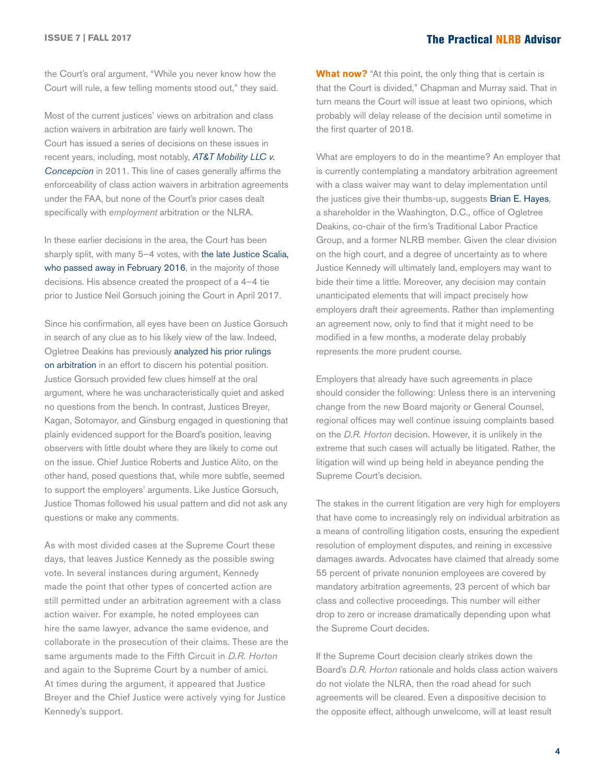the Court's oral argument. "While you never know how the Court will rule, a few telling moments stood out," they said.

Most of the current justices' views on arbitration and class action waivers in arbitration are fairly well known. The Court has issued a series of decisions on these issues in recent years, including, most notably, *[AT&T Mobility LLC v.](https://ogletree.com/Shared-Content/Content/blog/Articles/Divided-Supreme-Court-Endorses-Use-of-Class-Arbitration-Waivers_2011-04-27)  [Concepcion](https://ogletree.com/Shared-Content/Content/blog/Articles/Divided-Supreme-Court-Endorses-Use-of-Class-Arbitration-Waivers_2011-04-27)* in 2011. This line of cases generally affirms the enforceability of class action waivers in arbitration agreements under the FAA, but none of the Court's prior cases dealt specifically with *employment* arbitration or the NLRA.

In these earlier decisions in the area, the Court has been sharply split, with many 5-4 votes, with the late Justice Scalia, [who passed away in February 2016,](https://ogletree.com/shared-content/content/blog/2016/february/how-justice-scalias-death-could-have-profound-reverberations-for-employers) in the majority of those decisions. His absence created the prospect of a 4–4 tie prior to Justice Neil Gorsuch joining the Court in April 2017.

Since his confirmation, all eyes have been on Justice Gorsuch in search of any clue as to his likely view of the law. Indeed, Ogletree Deakins has previously [analyzed his prior rulings](https://ogletree.com/shared-content/content/blog/2017/february/judge-gorsuchs-arbitration-decisions-and-the-future-of-class-action-waivers-in-the-supreme-court)  [on arbitration](https://ogletree.com/shared-content/content/blog/2017/february/judge-gorsuchs-arbitration-decisions-and-the-future-of-class-action-waivers-in-the-supreme-court) in an effort to discern his potential position. Justice Gorsuch provided few clues himself at the oral argument, where he was uncharacteristically quiet and asked no questions from the bench. In contrast, Justices Breyer, Kagan, Sotomayor, and Ginsburg engaged in questioning that plainly evidenced support for the Board's position, leaving observers with little doubt where they are likely to come out on the issue. Chief Justice Roberts and Justice Alito, on the other hand, posed questions that, while more subtle, seemed to support the employers' arguments. Like Justice Gorsuch, Justice Thomas followed his usual pattern and did not ask any questions or make any comments.

As with most divided cases at the Supreme Court these days, that leaves Justice Kennedy as the possible swing vote. In several instances during argument, Kennedy made the point that other types of concerted action are still permitted under an arbitration agreement with a class action waiver. For example, he noted employees can hire the same lawyer, advance the same evidence, and collaborate in the prosecution of their claims. These are the same arguments made to the Fifth Circuit in *D.R. Horton* and again to the Supreme Court by a number of amici. At times during the argument, it appeared that Justice Breyer and the Chief Justice were actively vying for Justice Kennedy's support.

**What now?** "At this point, the only thing that is certain is that the Court is divided," Chapman and Murray said. That in turn means the Court will issue at least two opinions, which probably will delay release of the decision until sometime in the first quarter of 2018.

What are employers to do in the meantime? An employer that is currently contemplating a mandatory arbitration agreement with a class waiver may want to delay implementation until the justices give their thumbs-up, suggests [Brian E. Hayes,](https://ogletree.com/people/brian-e-hayes) a shareholder in the Washington, D.C., office of Ogletree Deakins, co-chair of the firm's Traditional Labor Practice Group, and a former NLRB member. Given the clear division on the high court, and a degree of uncertainty as to where Justice Kennedy will ultimately land, employers may want to bide their time a little. Moreover, any decision may contain unanticipated elements that will impact precisely how employers draft their agreements. Rather than implementing an agreement now, only to find that it might need to be modified in a few months, a moderate delay probably represents the more prudent course.

Employers that already have such agreements in place should consider the following: Unless there is an intervening change from the new Board majority or General Counsel, regional offices may well continue issuing complaints based on the *D.R. Horton* decision. However, it is unlikely in the extreme that such cases will actually be litigated. Rather, the litigation will wind up being held in abeyance pending the Supreme Court's decision.

The stakes in the current litigation are very high for employers that have come to increasingly rely on individual arbitration as a means of controlling litigation costs, ensuring the expedient resolution of employment disputes, and reining in excessive damages awards. Advocates have claimed that already some 55 percent of private nonunion employees are covered by mandatory arbitration agreements, 23 percent of which bar class and collective proceedings. This number will either drop to zero or increase dramatically depending upon what the Supreme Court decides.

If the Supreme Court decision clearly strikes down the Board's *D.R. Horton* rationale and holds class action waivers do not violate the NLRA, then the road ahead for such agreements will be cleared. Even a dispositive decision to the opposite effect, although unwelcome, will at least result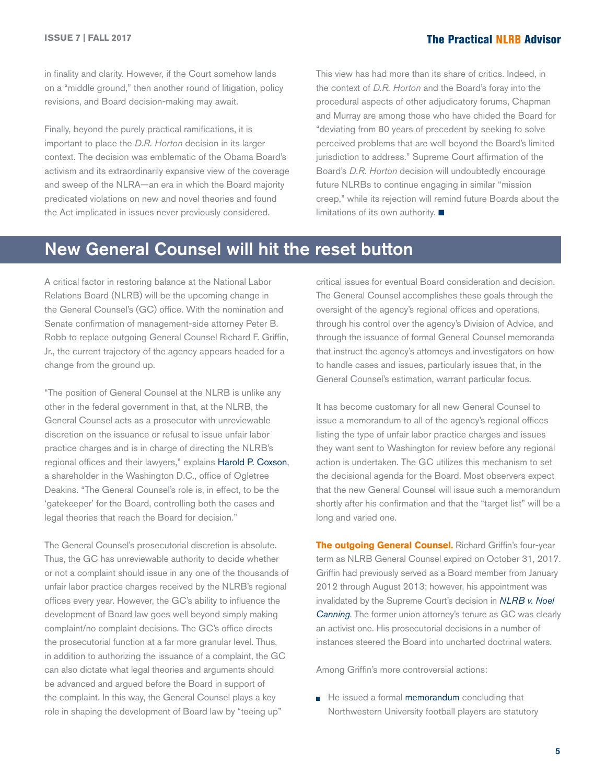### <span id="page-4-0"></span>The Practical NLRB Advisor **ISSUE 7 | FALL 2017**

in finality and clarity. However, if the Court somehow lands on a "middle ground," then another round of litigation, policy revisions, and Board decision-making may await.

Finally, beyond the purely practical ramifications, it is important to place the *D.R. Horton* decision in its larger context. The decision was emblematic of the Obama Board's activism and its extraordinarily expansive view of the coverage and sweep of the NLRA—an era in which the Board majority predicated violations on new and novel theories and found the Act implicated in issues never previously considered.

This view has had more than its share of critics. Indeed, in the context of *D.R. Horton* and the Board's foray into the procedural aspects of other adjudicatory forums, Chapman and Murray are among those who have chided the Board for "deviating from 80 years of precedent by seeking to solve perceived problems that are well beyond the Board's limited jurisdiction to address." Supreme Court affirmation of the Board's *D.R. Horton* decision will undoubtedly encourage future NLRBs to continue engaging in similar "mission creep," while its rejection will remind future Boards about the limitations of its own authority.  $\blacksquare$ 

## New General Counsel will hit the reset button

A critical factor in restoring balance at the National Labor Relations Board (NLRB) will be the upcoming change in the General Counsel's (GC) office. With the nomination and Senate confirmation of management-side attorney Peter B. Robb to replace outgoing General Counsel Richard F. Griffin, Jr., the current trajectory of the agency appears headed for a change from the ground up.

"The position of General Counsel at the NLRB is unlike any other in the federal government in that, at the NLRB, the General Counsel acts as a prosecutor with unreviewable discretion on the issuance or refusal to issue unfair labor practice charges and is in charge of directing the NLRB's regional offices and their lawyers," explains [Harold P. Coxson](https://ogletree.com/people/harold-p-coxson), a shareholder in the Washington D.C., office of Ogletree Deakins. "The General Counsel's role is, in effect, to be the 'gatekeeper' for the Board, controlling both the cases and legal theories that reach the Board for decision."

The General Counsel's prosecutorial discretion is absolute. Thus, the GC has unreviewable authority to decide whether or not a complaint should issue in any one of the thousands of unfair labor practice charges received by the NLRB's regional offices every year. However, the GC's ability to influence the development of Board law goes well beyond simply making complaint/no complaint decisions. The GC's office directs the prosecutorial function at a far more granular level. Thus, in addition to authorizing the issuance of a complaint, the GC can also dictate what legal theories and arguments should be advanced and argued before the Board in support of the complaint. In this way, the General Counsel plays a key role in shaping the development of Board law by "teeing up"

critical issues for eventual Board consideration and decision. The General Counsel accomplishes these goals through the oversight of the agency's regional offices and operations, through his control over the agency's Division of Advice, and through the issuance of formal General Counsel memoranda that instruct the agency's attorneys and investigators on how to handle cases and issues, particularly issues that, in the General Counsel's estimation, warrant particular focus.

It has become customary for all new General Counsel to issue a memorandum to all of the agency's regional offices listing the type of unfair labor practice charges and issues they want sent to Washington for review before any regional action is undertaken. The GC utilizes this mechanism to set the decisional agenda for the Board. Most observers expect that the new General Counsel will issue such a memorandum shortly after his confirmation and that the "target list" will be a long and varied one.

**The outgoing General Counsel.** Richard Griffin's four-year term as NLRB General Counsel expired on October 31, 2017. Griffin had previously served as a Board member from January 2012 through August 2013; however, his appointment was invalidated by the Supreme Court's decision in *[NLRB v. Noel](http://hr.cch.com/eld/bda0a8aa7be610009f10e0db5501c0ed01.pdf)  [Canning.](http://hr.cch.com/eld/bda0a8aa7be610009f10e0db5501c0ed01.pdf)* The former union attorney's tenure as GC was clearly an activist one. His prosecutorial decisions in a number of instances steered the Board into uncharted doctrinal waters.

Among Griffin's more controversial actions:

He issued a formal [memorandum](http://hr.cch.com/ELD/GCMemo17_01.pdf) concluding that Northwestern University football players are statutory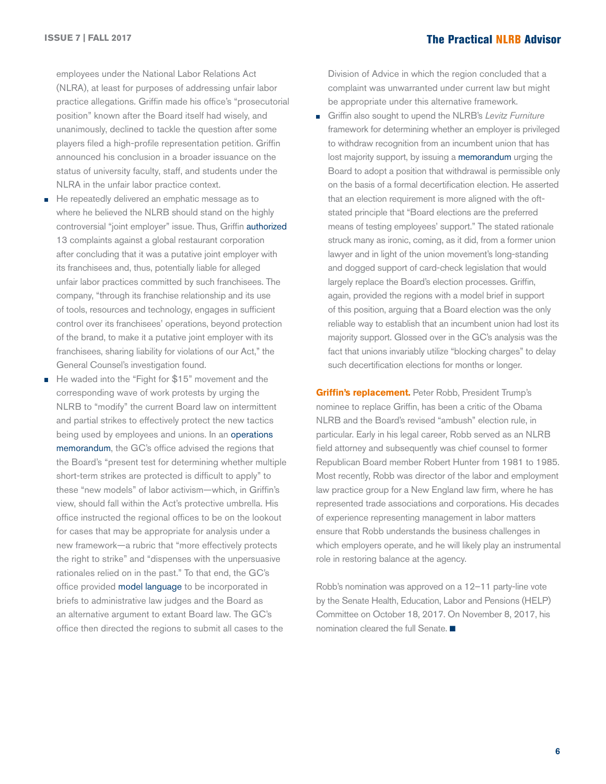### The Practical NLRB Advisor **ISSUE 7 | FALL 2017**

employees under the National Labor Relations Act (NLRA), at least for purposes of addressing unfair labor practice allegations. Griffin made his office's "prosecutorial position" known after the Board itself had wisely, and unanimously, declined to tackle the question after some players filed a high-profile representation petition. Griffin announced his conclusion in a broader issuance on the status of university faculty, staff, and students under the NLRA in the unfair labor practice context.

- He repeatedly delivered an emphatic message as to Ē. where he believed the NLRB should stand on the highly controversial "joint employer" issue. Thus, Griffin [authorized](https://www.nlrb.gov/news-outreach/news-story/nlrb-office-general-counsel-authorizes-complaints-against-mcdonalds) 13 complaints against a global restaurant corporation after concluding that it was a putative joint employer with its franchisees and, thus, potentially liable for alleged unfair labor practices committed by such franchisees. The company, "through its franchise relationship and its use of tools, resources and technology, engages in sufficient control over its franchisees' operations, beyond protection of the brand, to make it a putative joint employer with its franchisees, sharing liability for violations of our Act," the General Counsel's investigation found.
- He waded into the "Fight for \$15" movement and the Ē corresponding wave of work protests by urging the NLRB to "modify" the current Board law on intermittent and partial strikes to effectively protect the new tactics being used by employees and unions. In an operations [memorandum](http://hr.cch.com/ELD/ModelBriefOM10316.pdf), the GC's office advised the regions that the Board's "present test for determining whether multiple short-term strikes are protected is difficult to apply" to these "new models" of labor activism—which, in Griffin's view, should fall within the Act's protective umbrella. His office instructed the regional offices to be on the lookout for cases that may be appropriate for analysis under a new framework—a rubric that "more effectively protects the right to strike" and "dispenses with the unpersuasive rationales relied on in the past." To that end, the GC's office provided [model language](http://hr.cch.com/ELD/IntermittentStrikesInsert.pdf) to be incorporated in briefs to administrative law judges and the Board as an alternative argument to extant Board law. The GC's office then directed the regions to submit all cases to the

Division of Advice in which the region concluded that a complaint was unwarranted under current law but might be appropriate under this alternative framework.

Griffin also sought to upend the NLRB's *Levitz Furniture* framework for determining whether an employer is privileged to withdraw recognition from an incumbent union that has lost majority support, by issuing a [memorandum](http://hr.cch.com/ELD/GC1603SeekingBoardReconsideration.pdf) urging the Board to adopt a position that withdrawal is permissible only on the basis of a formal decertification election. He asserted that an election requirement is more aligned with the oftstated principle that "Board elections are the preferred means of testing employees' support." The stated rationale struck many as ironic, coming, as it did, from a former union lawyer and in light of the union movement's long-standing and dogged support of card-check legislation that would largely replace the Board's election processes. Griffin, again, provided the regions with a model brief in support of this position, arguing that a Board election was the only reliable way to establish that an incumbent union had lost its majority support. Glossed over in the GC's analysis was the fact that unions invariably utilize "blocking charges" to delay such decertification elections for months or longer.

**Griffin's replacement.** Peter Robb, President Trump's nominee to replace Griffin, has been a critic of the Obama NLRB and the Board's revised "ambush" election rule, in particular. Early in his legal career, Robb served as an NLRB field attorney and subsequently was chief counsel to former Republican Board member Robert Hunter from 1981 to 1985. Most recently, Robb was director of the labor and employment law practice group for a New England law firm, where he has represented trade associations and corporations. His decades of experience representing management in labor matters ensure that Robb understands the business challenges in which employers operate, and he will likely play an instrumental role in restoring balance at the agency.

Robb's nomination was approved on a 12–11 party-line vote by the Senate Health, Education, Labor and Pensions (HELP) Committee on October 18, 2017. On November 8, 2017, his nomination cleared the full Senate.  $\blacksquare$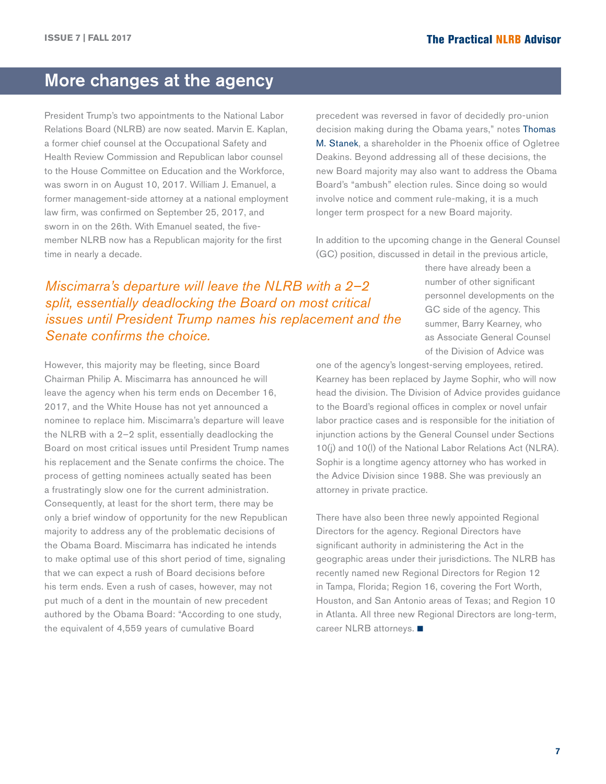## <span id="page-6-0"></span>More changes at the agency

President Trump's two appointments to the National Labor Relations Board (NLRB) are now seated. Marvin E. Kaplan, a former chief counsel at the Occupational Safety and Health Review Commission and Republican labor counsel to the House Committee on Education and the Workforce, was sworn in on August 10, 2017. William J. Emanuel, a former management-side attorney at a national employment law firm, was confirmed on September 25, 2017, and sworn in on the 26th. With Emanuel seated, the fivemember NLRB now has a Republican majority for the first time in nearly a decade.

precedent was reversed in favor of decidedly pro-union decision making during the Obama years," notes [Thomas](https://ogletree.com/people/thomas-m-stanek)  [M. Stanek](https://ogletree.com/people/thomas-m-stanek), a shareholder in the Phoenix office of Ogletree Deakins. Beyond addressing all of these decisions, the new Board majority may also want to address the Obama Board's "ambush" election rules. Since doing so would involve notice and comment rule-making, it is a much longer term prospect for a new Board majority.

In addition to the upcoming change in the General Counsel (GC) position, discussed in detail in the previous article,

## *Miscimarra's departure will leave the NLRB with a 2–2 split, essentially deadlocking the Board on most critical issues until President Trump names his replacement and the Senate confirms the choice.*

However, this majority may be fleeting, since Board Chairman Philip A. Miscimarra has announced he will leave the agency when his term ends on December 16, 2017, and the White House has not yet announced a nominee to replace him. Miscimarra's departure will leave the NLRB with a 2–2 split, essentially deadlocking the Board on most critical issues until President Trump names his replacement and the Senate confirms the choice. The process of getting nominees actually seated has been a frustratingly slow one for the current administration. Consequently, at least for the short term, there may be only a brief window of opportunity for the new Republican majority to address any of the problematic decisions of the Obama Board. Miscimarra has indicated he intends to make optimal use of this short period of time, signaling that we can expect a rush of Board decisions before his term ends. Even a rush of cases, however, may not put much of a dent in the mountain of new precedent authored by the Obama Board: "According to one study, the equivalent of 4,559 years of cumulative Board

there have already been a number of other significant personnel developments on the GC side of the agency. This summer, Barry Kearney, who as Associate General Counsel of the Division of Advice was

one of the agency's longest-serving employees, retired. Kearney has been replaced by Jayme Sophir, who will now head the division. The Division of Advice provides guidance to the Board's regional offices in complex or novel unfair labor practice cases and is responsible for the initiation of injunction actions by the General Counsel under Sections 10(j) and 10(l) of the National Labor Relations Act (NLRA). Sophir is a longtime agency attorney who has worked in the Advice Division since 1988. She was previously an attorney in private practice.

There have also been three newly appointed Regional Directors for the agency. Regional Directors have significant authority in administering the Act in the geographic areas under their jurisdictions. The NLRB has recently named new Regional Directors for Region 12 in Tampa, Florida; Region 16, covering the Fort Worth, Houston, and San Antonio areas of Texas; and Region 10 in Atlanta. All three new Regional Directors are long-term, career NLRB attorneys.  $\blacksquare$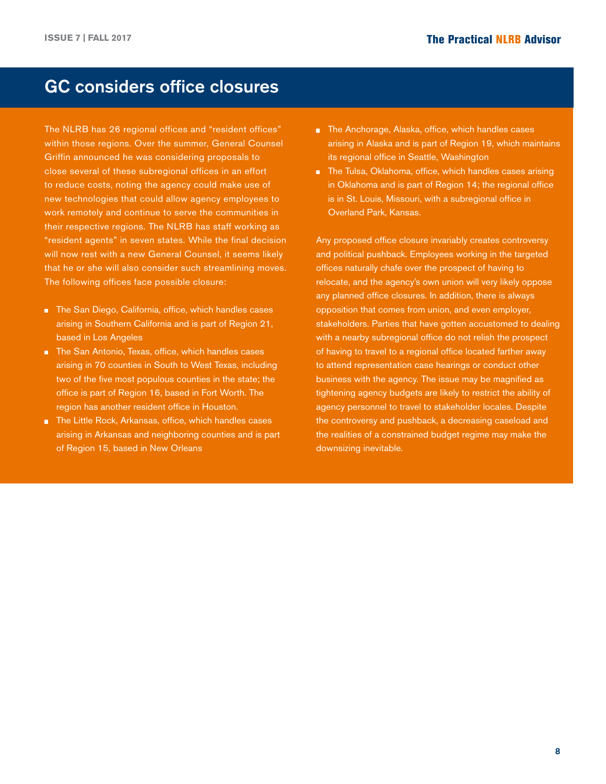## GC considers office closures

The NLRB has 26 regional offices and "resident offices" within those regions. Over the summer, General Counsel Griffin announced he was considering proposals to close several of these subregional offices in an effort to reduce costs, noting the agency could make use of new technologies that could allow agency employees to work remotely and continue to serve the communities in their respective regions. The NLRB has staff working as "resident agents" in seven states. While the final decision will now rest with a new General Counsel, it seems likely that he or she will also consider such streamlining moves. The following offices face possible closure:

- The San Diego, California, office, which handles cases arising in Southern California and is part of Region 21, based in Los Angeles
- The San Antonio, Texas, office, which handles cases arising in 70 counties in South to West Texas, including two of the five most populous counties in the state; the office is part of Region 16, based in Fort Worth. The region has another resident office in Houston.
- **The Little Rock, Arkansas, office, which handles cases** arising in Arkansas and neighboring counties and is part of Region 15, based in New Orleans
- The Anchorage, Alaska, office, which handles cases arising in Alaska and is part of Region 19, which maintains its regional office in Seattle, Washington
- The Tulsa, Oklahoma, office, which handles cases arising in Oklahoma and is part of Region 14; the regional office is in St. Louis, Missouri, with a subregional office in Overland Park, Kansas.

Any proposed office closure invariably creates controversy and political pushback. Employees working in the targeted offices naturally chafe over the prospect of having to relocate, and the agency's own union will very likely oppose any planned office closures. In addition, there is always opposition that comes from union, and even employer, stakeholders. Parties that have gotten accustomed to dealing with a nearby subregional office do not relish the prospect of having to travel to a regional office located farther away to attend representation case hearings or conduct other business with the agency. The issue may be magnified as tightening agency budgets are likely to restrict the ability of agency personnel to travel to stakeholder locales. Despite the controversy and pushback, a decreasing caseload and the realities of a constrained budget regime may make the downsizing inevitable.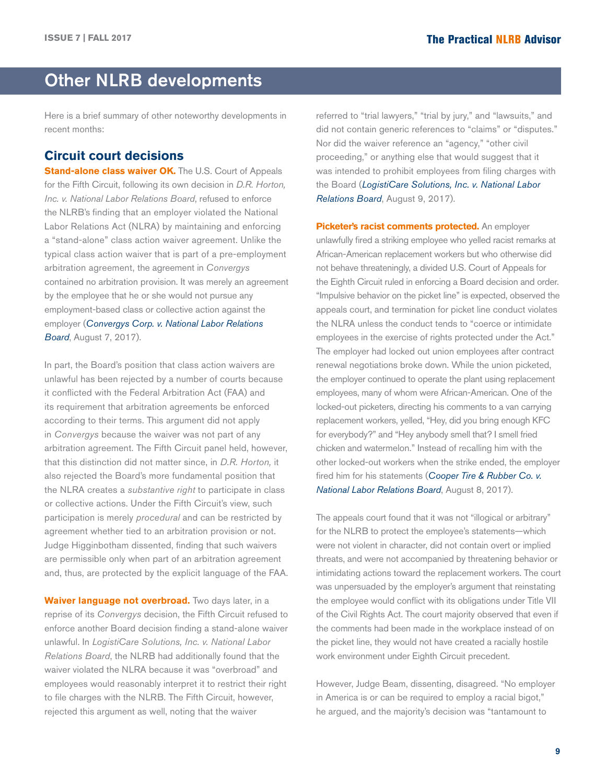## <span id="page-8-0"></span>Other NLRB developments

Here is a brief summary of other noteworthy developments in recent months:

## **Circuit court decisions**

**Stand-alone class waiver OK.** The U.S. Court of Appeals for the Fifth Circuit, following its own decision in *D.R. Horton, Inc. v. National Labor Relations Board*, refused to enforce the NLRB's finding that an employer violated the National Labor Relations Act (NLRA) by maintaining and enforcing a "stand-alone" class action waiver agreement. Unlike the typical class action waiver that is part of a pre-employment arbitration agreement, the agreement in *Convergys* contained no arbitration provision. It was merely an agreement by the employee that he or she would not pursue any employment-based class or collective action against the employer (*[Convergys Corp. v. National Labor Relations](http://hr.cch.com/eld/ConvergysNLRB080717.pdf)  [Bo](http://hr.cch.com/eld/ConvergysNLRB080717.pdf)ard*, August 7, 2017).

In part, the Board's position that class action waivers are unlawful has been rejected by a number of courts because it conflicted with the Federal Arbitration Act (FAA) and its requirement that arbitration agreements be enforced according to their terms. This argument did not apply in *Convergys* because the waiver was not part of any arbitration agreement. The Fifth Circuit panel held, however, that this distinction did not matter since, in *D.R. Horton,* it also rejected the Board's more fundamental position that the NLRA creates a *substantive right* to participate in class or collective actions. Under the Fifth Circuit's view, such participation is merely *procedural* and can be restricted by agreement whether tied to an arbitration provision or not. Judge Higginbotham dissented, finding that such waivers are permissible only when part of an arbitration agreement and, thus, are protected by the explicit language of the FAA.

**Waiver language not overbroad.** Two days later, in a reprise of its *Convergys* decision, the Fifth Circuit refused to enforce another Board decision finding a stand-alone waiver unlawful. In *LogistiCare Solutions, Inc. v. National Labor Relations Board*, the NLRB had additionally found that the waiver violated the NLRA because it was "overbroad" and employees would reasonably interpret it to restrict their right to file charges with the NLRB. The Fifth Circuit, however, rejected this argument as well, noting that the waiver

referred to "trial lawyers," "trial by jury," and "lawsuits," and did not contain generic references to "claims" or "disputes." Nor did the waiver reference an "agency," "other civil proceeding," or anything else that would suggest that it was intended to prohibit employees from filing charges with the Board (*[LogistiCare Solutions, Inc. v. National Labor](http://hr.cch.com/ELD/LogisticareNLRB080917.pdf)  [Relations B](http://hr.cch.com/ELD/LogisticareNLRB080917.pdf)oard*, August 9, 2017).

**Picketer's racist comments protected.** An employer unlawfully fired a striking employee who yelled racist remarks at African-American replacement workers but who otherwise did not behave threateningly, a divided U.S. Court of Appeals for the Eighth Circuit ruled in enforcing a Board decision and order. "Impulsive behavior on the picket line" is expected, observed the appeals court, and termination for picket line conduct violates the NLRA unless the conduct tends to "coerce or intimidate employees in the exercise of rights protected under the Act." The employer had locked out union employees after contract renewal negotiations broke down. While the union picketed, the employer continued to operate the plant using replacement employees, many of whom were African-American. One of the locked-out picketers, directing his comments to a van carrying replacement workers, yelled, "Hey, did you bring enough KFC for everybody?" and "Hey anybody smell that? I smell fried chicken and watermelon." Instead of recalling him with the other locked-out workers when the strike ended, the employer fired him for his statements (*[Cooper Tire & Rubber Co. v.](http://hr.cch.com/ELD/CooperTireNLRB080817.pdf)  [National Labor Relations Bo](http://hr.cch.com/ELD/CooperTireNLRB080817.pdf)ard*, August 8, 2017).

The appeals court found that it was not "illogical or arbitrary" for the NLRB to protect the employee's statements—which were not violent in character, did not contain overt or implied threats, and were not accompanied by threatening behavior or intimidating actions toward the replacement workers. The court was unpersuaded by the employer's argument that reinstating the employee would conflict with its obligations under Title VII of the Civil Rights Act. The court majority observed that even if the comments had been made in the workplace instead of on the picket line, they would not have created a racially hostile work environment under Eighth Circuit precedent.

However, Judge Beam, dissenting, disagreed. "No employer in America is or can be required to employ a racial bigot," he argued, and the majority's decision was "tantamount to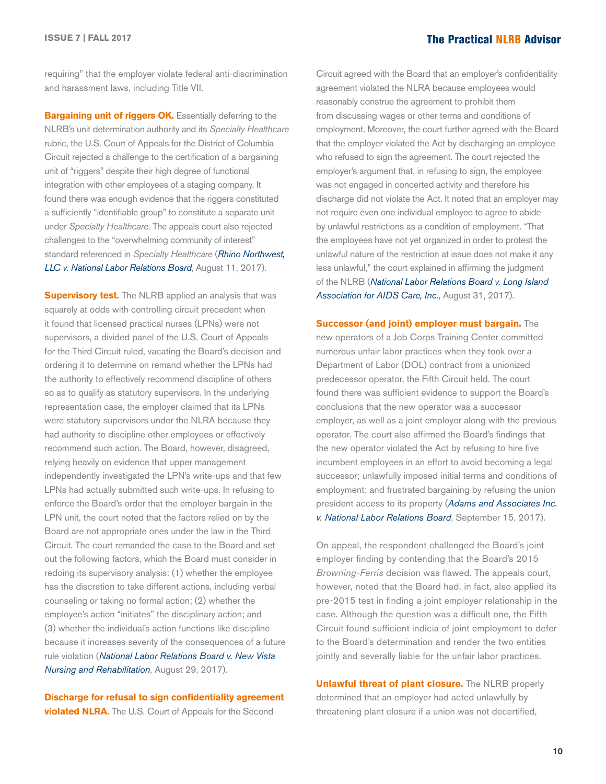### The Practical NLRB Advisor **ISSUE 7 | FALL 2017**

requiring" that the employer violate federal anti-discrimination and harassment laws, including Title VII.

**Bargaining unit of riggers OK.** Essentially deferring to the NLRB's unit determination authority and its *Specialty Healthcare*  rubric, the U.S. Court of Appeals for the District of Columbia Circuit rejected a challenge to the certification of a bargaining unit of "riggers" despite their high degree of functional integration with other employees of a staging company. It found there was enough evidence that the riggers constituted a sufficiently "identifiable group" to constitute a separate unit under *Specialty Healthcare.* The appeals court also rejected challenges to the "overwhelming community of interest" standard referenced in *Specialty Healthcare* (*[Rhino Northwest,](http://hr.cch.com/ELD/RhinoNLRB081117.pdf)  [LLC v. National Labor Relations B](http://hr.cch.com/ELD/RhinoNLRB081117.pdf)oard*, August 11, 2017).

**Supervisory test.** The NLRB applied an analysis that was squarely at odds with controlling circuit precedent when it found that licensed practical nurses (LPNs) were not supervisors, a divided panel of the U.S. Court of Appeals for the Third Circuit ruled, vacating the Board's decision and ordering it to determine on remand whether the LPNs had the authority to effectively recommend discipline of others so as to qualify as statutory supervisors. In the underlying representation case, the employer claimed that its LPNs were statutory supervisors under the NLRA because they had authority to discipline other employees or effectively recommend such action. The Board, however, disagreed, relying heavily on evidence that upper management independently investigated the LPN's write-ups and that few LPNs had actually submitted such write-ups. In refusing to enforce the Board's order that the employer bargain in the LPN unit, the court noted that the factors relied on by the Board are not appropriate ones under the law in the Third Circuit. The court remanded the case to the Board and set out the following factors, which the Board must consider in redoing its supervisory analysis: (1) whether the employee has the discretion to take different actions, including verbal counseling or taking no formal action; (2) whether the employee's action "initiates" the disciplinary action; and (3) whether the individual's action functions like discipline because it increases severity of the consequences of a future rule violation (*National Labor Relations Boar[d v. New Vista](http://hr.cch.com/ELD/NLRBNewVista082917.pdf)  [Nursing and Rehabilitation](http://hr.cch.com/ELD/NLRBNewVista082917.pdf)*, August 29, 2017).

**Discharge for refusal to sign confidentiality agreement violated NLRA.** The U.S. Court of Appeals for the Second

Circuit agreed with the Board that an employer's confidentiality agreement violated the NLRA because employees would reasonably construe the agreement to prohibit them from discussing wages or other terms and conditions of employment. Moreover, the court further agreed with the Board that the employer violated the Act by discharging an employee who refused to sign the agreement. The court rejected the employer's argument that, in refusing to sign, the employee was not engaged in concerted activity and therefore his discharge did not violate the Act. It noted that an employer may not require even one individual employee to agree to abide by unlawful restrictions as a condition of employment. "That the employees have not yet organized in order to protest the unlawful nature of the restriction at issue does not make it any less unlawful," the court explained in affirming the judgment of the NLRB (*[National Labor Relations Board v. Long Island](http://hr.cch.com/ELD/NLRBLongIsland083117.pdf)  [Association for AIDS Care, Inc.](http://hr.cch.com/ELD/NLRBLongIsland083117.pdf)*, August 31, 2017).

**Successor (and joint) employer must bargain.** The new operators of a Job Corps Training Center committed numerous unfair labor practices when they took over a Department of Labor (DOL) contract from a unionized predecessor operator, the Fifth Circuit held. The court found there was sufficient evidence to support the Board's conclusions that the new operator was a successor employer, as well as a joint employer along with the previous operator. The court also affirmed the Board's findings that the new operator violated the Act by refusing to hire five incumbent employees in an effort to avoid becoming a legal successor; unlawfully imposed initial terms and conditions of employment; and frustrated bargaining by refusing the union president access to its property (*[Adams and Associates Inc.](http://hr.cch.com/ELD/AdamsNLRB091517.pdf)  [v. National Labor Relations Board](http://hr.cch.com/ELD/AdamsNLRB091517.pdf)*, September 15, 2017).

On appeal, the respondent challenged the Board's joint employer finding by contending that the Board's 2015 *Browning-Ferris* decision was flawed. The appeals court, however, noted that the Board had, in fact, also applied its pre-2015 test in finding a joint employer relationship in the case. Although the question was a difficult one, the Fifth Circuit found sufficient indicia of joint employment to defer to the Board's determination and render the two entities jointly and severally liable for the unfair labor practices.

**Unlawful threat of plant closure.** The NLRB properly determined that an employer had acted unlawfully by threatening plant closure if a union was not decertified,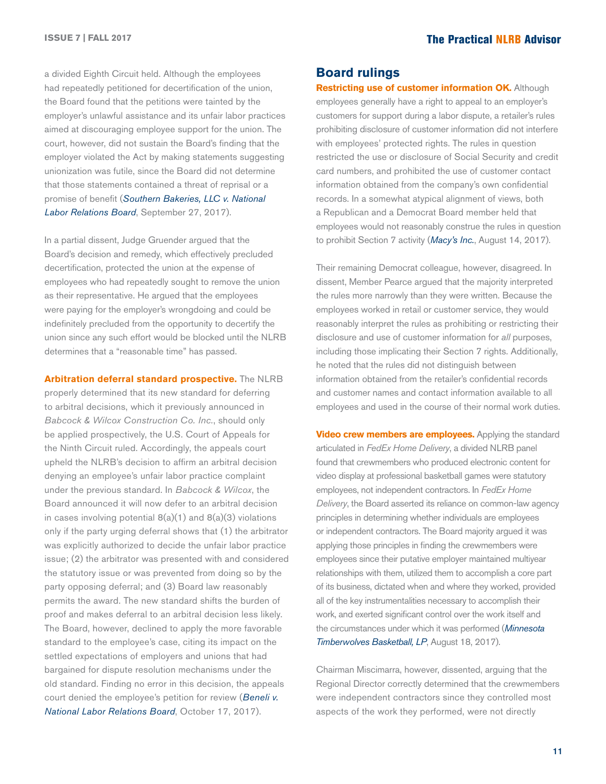a divided Eighth Circuit held. Although the employees had repeatedly petitioned for decertification of the union, the Board found that the petitions were tainted by the employer's unlawful assistance and its unfair labor practices aimed at discouraging employee support for the union. The court, however, did not sustain the Board's finding that the employer violated the Act by making statements suggesting unionization was futile, since the Board did not determine that those statements contained a threat of reprisal or a promise of benefit (*[Southern Bakeries, LLC v. National](http://hr.cch.com/ELD/SouthernBakeriesNLRB092717.pdf)  [Labor Relations Board](http://hr.cch.com/ELD/SouthernBakeriesNLRB092717.pdf)*, September 27, 2017).

In a partial dissent, Judge Gruender argued that the Board's decision and remedy, which effectively precluded decertification, protected the union at the expense of employees who had repeatedly sought to remove the union as their representative. He argued that the employees were paying for the employer's wrongdoing and could be indefinitely precluded from the opportunity to decertify the union since any such effort would be blocked until the NLRB determines that a "reasonable time" has passed.

**Arbitration deferral standard prospective.** The NLRB

properly determined that its new standard for deferring to arbitral decisions, which it previously announced in *Babcock & Wilcox Construction Co. Inc.*, should only be applied prospectively, the U.S. Court of Appeals for the Ninth Circuit ruled. Accordingly, the appeals court upheld the NLRB's decision to affirm an arbitral decision denying an employee's unfair labor practice complaint under the previous standard. In *Babcock & Wilcox*, the Board announced it will now defer to an arbitral decision in cases involving potential  $8(a)(1)$  and  $8(a)(3)$  violations only if the party urging deferral shows that (1) the arbitrator was explicitly authorized to decide the unfair labor practice issue; (2) the arbitrator was presented with and considered the statutory issue or was prevented from doing so by the party opposing deferral; and (3) Board law reasonably permits the award. The new standard shifts the burden of proof and makes deferral to an arbitral decision less likely. The Board, however, declined to apply the more favorable standard to the employee's case, citing its impact on the settled expectations of employers and unions that had bargained for dispute resolution mechanisms under the old standard. Finding no error in this decision, the appeals court denied the employee's petition for review (*[Beneli v.](http://hr.cch.com/ELD/BeneliNLRB101717.pdf)  [National Labor Relations B](http://hr.cch.com/ELD/BeneliNLRB101717.pdf)oard*, October 17, 2017).

#### **Board rulings**

**Restricting use of customer information OK.** Although employees generally have a right to appeal to an employer's customers for support during a labor dispute, a retailer's rules prohibiting disclosure of customer information did not interfere with employees' protected rights. The rules in question restricted the use or disclosure of Social Security and credit card numbers, and prohibited the use of customer contact information obtained from the company's own confidential records. In a somewhat atypical alignment of views, both a Republican and a Democrat Board member held that employees would not reasonably construe the rules in question to prohibit Section 7 activity (*[Macy's Inc.](http://hr.cch.com/ELD/Macys081417.pdf)*, August 14, 2017).

Their remaining Democrat colleague, however, disagreed. In dissent, Member Pearce argued that the majority interpreted the rules more narrowly than they were written. Because the employees worked in retail or customer service, they would reasonably interpret the rules as prohibiting or restricting their disclosure and use of customer information for *all* purposes, including those implicating their Section 7 rights. Additionally, he noted that the rules did not distinguish between information obtained from the retailer's confidential records and customer names and contact information available to all employees and used in the course of their normal work duties.

**Video crew members are employees.** Applying the standard articulated in *FedEx Home Delivery*, a divided NLRB panel found that crewmembers who produced electronic content for video display at professional basketball games were statutory employees, not independent contractors. In *FedEx Home Delivery*, the Board asserted its reliance on common-law agency principles in determining whether individuals are employees or independent contractors. The Board majority argued it was applying those principles in finding the crewmembers were employees since their putative employer maintained multiyear relationships with them, utilized them to accomplish a core part of its business, dictated when and where they worked, provided all of the key instrumentalities necessary to accomplish their work, and exerted significant control over the work itself and the circumstances under which it was performed (*[Minnesota](http://hr.cch.com/ELD/MinnesotaTimberwolves081817.pdf)  [Timberwolves Basketball, LP](http://hr.cch.com/ELD/MinnesotaTimberwolves081817.pdf)*, August 18, 2017).

Chairman Miscimarra, however, dissented, arguing that the Regional Director correctly determined that the crewmembers were independent contractors since they controlled most aspects of the work they performed, were not directly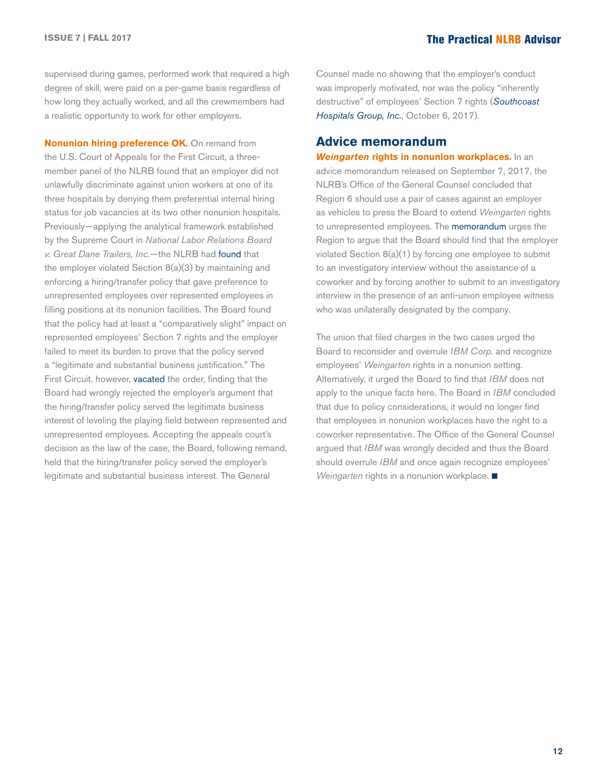supervised during games, performed work that required a high degree of skill, were paid on a per-game basis regardless of how long they actually worked, and all the crewmembers had a realistic opportunity to work for other employers.

**Nonunion hiring preference OK.** On remand from the U.S. Court of Appeals for the First Circuit, a threemember panel of the NLRB found that an employer did not unlawfully discriminate against union workers at one of its three hospitals by denying them preferential internal hiring status for job vacancies at its two other nonunion hospitals. Previously—applying the analytical framework established by the Supreme Court in *National Labor Relations Board v. Great Dane Trailers*, *Inc.*—the NLRB had [found](http://hr.cch.com/ELD/SouthcoastHosp09162015.pdf) that the employer violated Section 8(a)(3) by maintaining and enforcing a hiring/transfer policy that gave preference to unrepresented employees over represented employees in filling positions at its nonunion facilities. The Board found that the policy had at least a "comparatively slight" impact on represented employees' Section 7 rights and the employer failed to meet its burden to prove that the policy served a "legitimate and substantial business justification." The First Circuit, however, [vacated](http://hr.cch.com/ELD/SouthcoastNLRB012017.pdf) the order, finding that the Board had wrongly rejected the employer's argument that the hiring/transfer policy served the legitimate business interest of leveling the playing field between represented and unrepresented employees. Accepting the appeals court's decision as the law of the case, the Board, following remand, held that the hiring/transfer policy served the employer's legitimate and substantial business interest. The General

Counsel made no showing that the employer's conduct was improperly motivated, nor was the policy "inherently destructive" of employees' Section 7 rights (*[Southcoast](http://hr.cch.com/eld/SouthcoastHospital100617.pdf)  [Hospitals Group, Inc.](http://hr.cch.com/eld/SouthcoastHospital100617.pdf)*, October 6, 2017).

#### **Advice memorandum**

*Weingarten* **rights in nonunion workplaces.** In an advice memorandum released on September 7, 2017, the NLRB's Office of the General Counsel concluded that Region 6 should use a pair of cases against an employer as vehicles to press the Board to extend *Weingarten* rights to unrepresented employees. The [memorandum](http://hr.cch.com/ELD/NLRB-06_CA_176011_12_01_16_.pdf) urges the Region to argue that the Board should find that the employer violated Section 8(a)(1) by forcing one employee to submit to an investigatory interview without the assistance of a coworker and by forcing another to submit to an investigatory interview in the presence of an anti-union employee witness who was unilaterally designated by the company.

The union that filed charges in the two cases urged the Board to reconsider and overrule *IBM Corp.* and recognize employees' *Weingarten* rights in a nonunion setting. Alternatively, it urged the Board to find that *IBM* does not apply to the unique facts here. The Board in *IBM* concluded that due to policy considerations, it would no longer find that employees in nonunion workplaces have the right to a coworker representative. The Office of the General Counsel argued that *IBM* was wrongly decided and thus the Board should overrule *IBM* and once again recognize employees' *Weingarten* rights in a nonunion workplace. ■